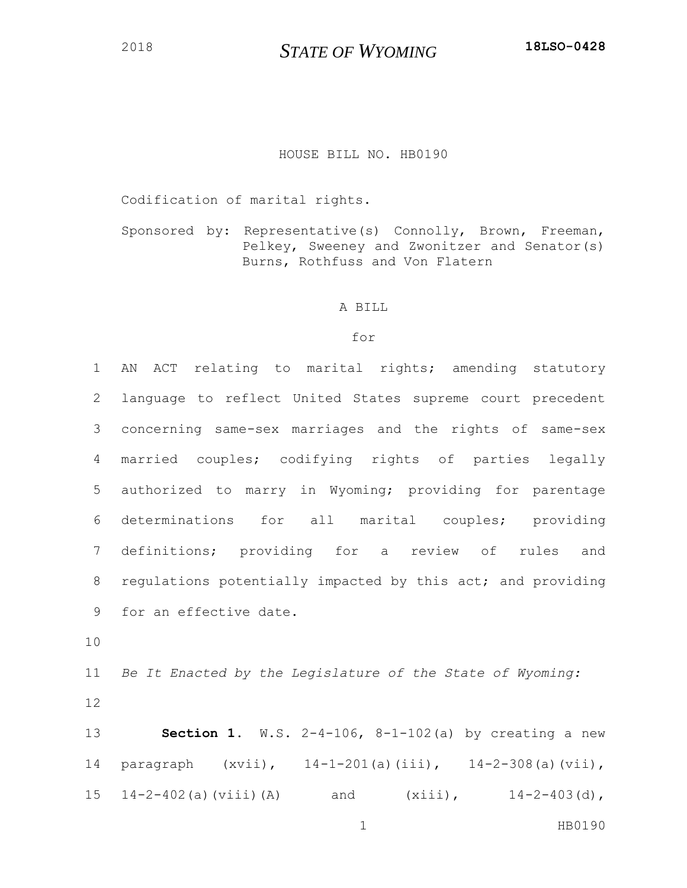## HOUSE BILL NO. HB0190

Codification of marital rights.

Sponsored by: Representative(s) Connolly, Brown, Freeman, Pelkey, Sweeney and Zwonitzer and Senator(s) Burns, Rothfuss and Von Flatern

## A BILL

## for

 AN ACT relating to marital rights; amending statutory language to reflect United States supreme court precedent concerning same-sex marriages and the rights of same-sex married couples; codifying rights of parties legally authorized to marry in Wyoming; providing for parentage determinations for all marital couples; providing definitions; providing for a review of rules and 8 regulations potentially impacted by this act; and providing for an effective date.

10

11 *Be It Enacted by the Legislature of the State of Wyoming:* 12

13 **Section 1.** W.S. 2-4-106, 8-1-102(a) by creating a new 14 paragraph (xvii), 14-1-201(a)(iii), 14-2-308(a)(vii), 15 14-2-402(a)(viii)(A) and (xiii), 14-2-403(d),

1 HB0190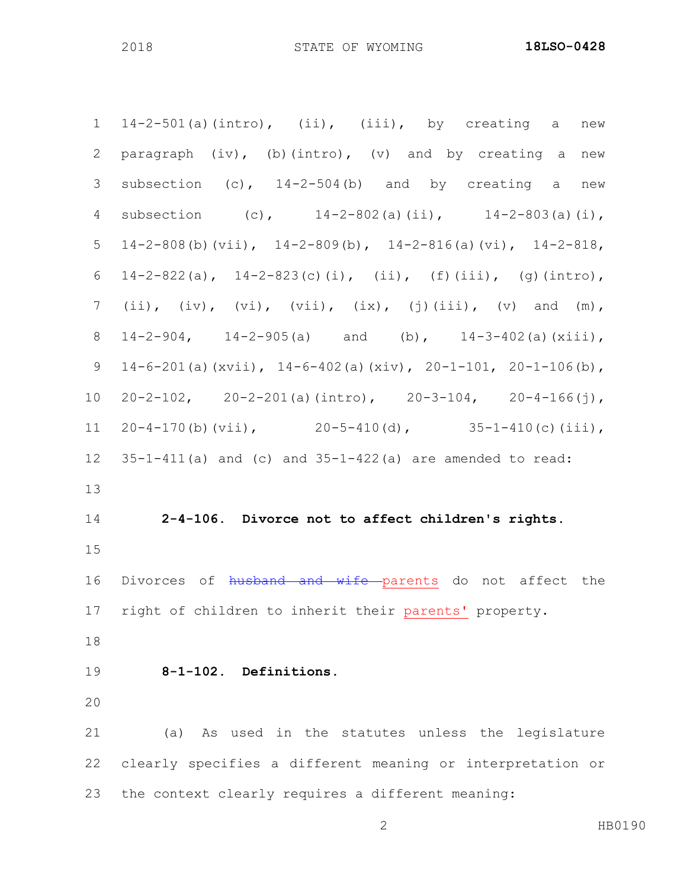$14-2-501$  (a) (intro), (ii), (iii), by creating a new paragraph (iv), (b)(intro), (v) and by creating a new subsection (c), 14-2-504(b) and by creating a new subsection (c), 14-2-802(a)(ii), 14-2-803(a)(i), 5 14-2-808(b)(vii),  $14-2-809$ (b),  $14-2-816$ (a)(vi),  $14-2-818$ ,  $14-2-822(a)$ ,  $14-2-823(c)(i)$ , (ii), (f)(iii), (g)(intro), 7 (ii),  $(iv)$ ,  $(vi)$ ,  $(vii)$ ,  $(ix)$ ,  $(j)$  $(iii)$ ,  $(v)$  and  $(m)$ , 14-2-904, 14-2-905(a) and (b), 14-3-402(a)(xiii), 14-6-201(a)(xvii), 14-6-402(a)(xiv), 20-1-101, 20-1-106(b), 20-2-102, 20-2-201(a)(intro), 20-3-104, 20-4-166(j), 11 20-4-170(b)(vii),  $20-5-410$ (d),  $35-1-410$ (c)(iii),  $35-1-411(a)$  and (c) and  $35-1-422(a)$  are amended to read: **2-4-106. Divorce not to affect children's rights.** 16 Divorces of husband and wife parents do not affect the right of children to inherit their parents' property. **8-1-102. Definitions.** (a) As used in the statutes unless the legislature clearly specifies a different meaning or interpretation or the context clearly requires a different meaning: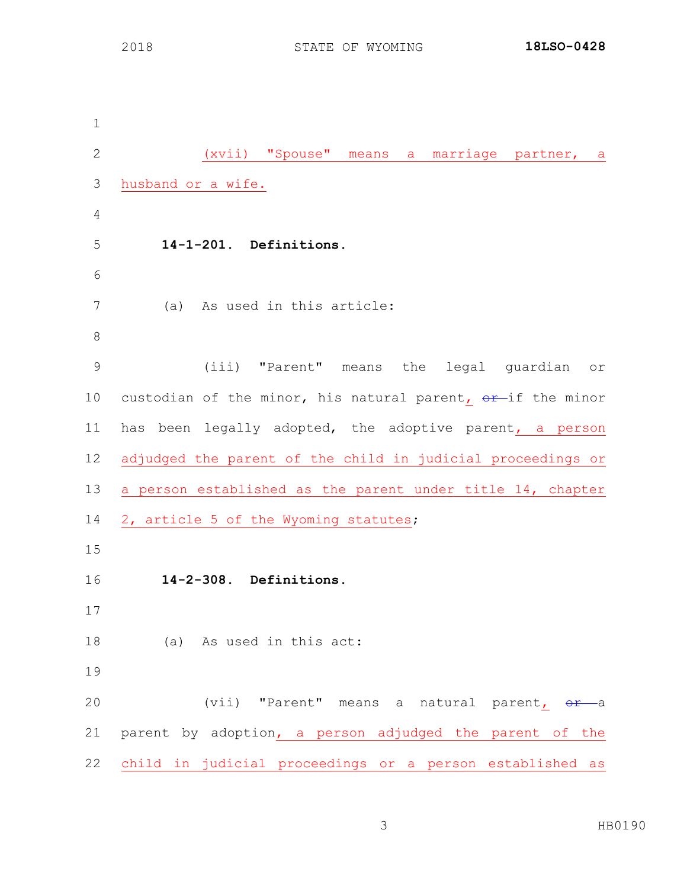(xvii) "Spouse" means a marriage partner, a husband or a wife. **14-1-201. Definitions.** (a) As used in this article: (iii) "Parent" means the legal guardian or 10 custodian of the minor, his natural parent,  $\Theta$ r-if the minor has been legally adopted, the adoptive parent, a person adjudged the parent of the child in judicial proceedings or a person established as the parent under title 14, chapter 14 2, article 5 of the Wyoming statutes; **14-2-308. Definitions.** (a) As used in this act: 20 (vii) "Parent" means a natural parent, or a parent by adoption, a person adjudged the parent of the child in judicial proceedings or a person established as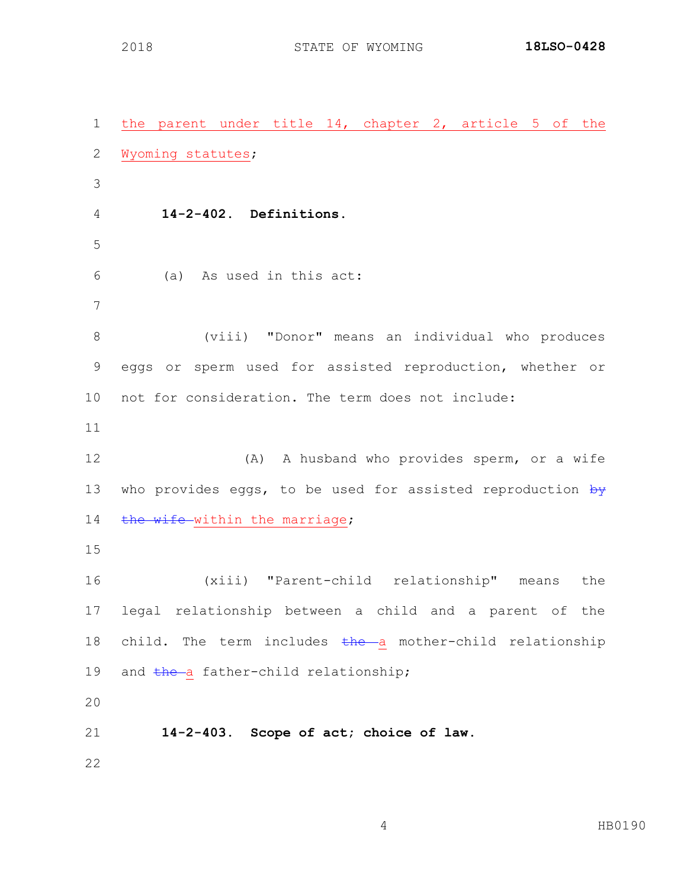the parent under title 14, chapter 2, article 5 of the Wyoming statutes; **14-2-402. Definitions.** (a) As used in this act: (viii) "Donor" means an individual who produces eggs or sperm used for assisted reproduction, whether or not for consideration. The term does not include: (A) A husband who provides sperm, or a wife 13 who provides eggs, to be used for assisted reproduction  $\frac{1}{2}$ 14 the wife within the marriage; (xiii) "Parent-child relationship" means the legal relationship between a child and a parent of the 18 child. The term includes the a mother-child relationship 19 and the a father-child relationship; **14-2-403. Scope of act; choice of law.**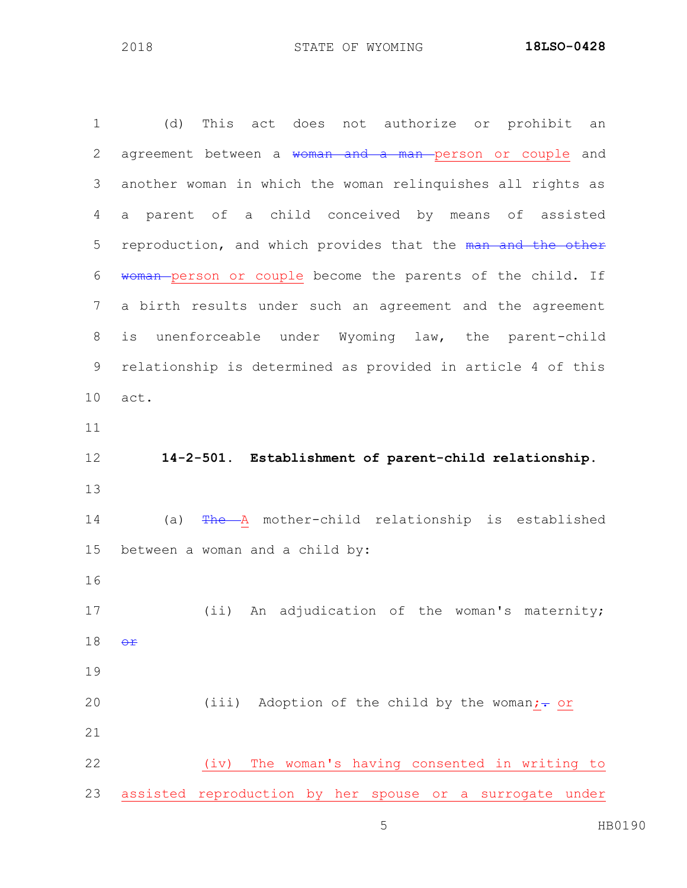| $\mathbf 1$    | (d)<br>This act does not authorize or prohibit<br>an        |
|----------------|-------------------------------------------------------------|
| $\mathbf{2}$   | agreement between a woman and<br>a man person or couple and |
| 3              | another woman in which the woman relinquishes all rights as |
| 4              | parent of a child conceived by means of assisted<br>a       |
| 5              | reproduction, and which provides that the man and the other |
| 6              | woman-person or couple become the parents of the child. If  |
| $\overline{7}$ | a birth results under such an agreement and the agreement   |
| $\,8\,$        | unenforceable under Wyoming law, the parent-child<br>is     |
| $\mathsf 9$    | relationship is determined as provided in article 4 of this |
| 10             | act.                                                        |
| 11             |                                                             |
| 12             | 14-2-501. Establishment of parent-child relationship.       |
| 13             |                                                             |
| 14             | The A mother-child relationship is established<br>(a)       |
| 15             | between a woman and a child by:                             |
| 16             |                                                             |
| 17             | (ii) An adjudication of the woman's maternity;              |
| 18             | $\Theta$ $\mathbf{f}$                                       |
| 19             |                                                             |
| 20             | (iii) Adoption of the child by the woman;- or               |
| 21             |                                                             |
| 22             | The woman's having consented in writing to<br>(iv)          |
| 23             | assisted reproduction by her spouse or a surrogate under    |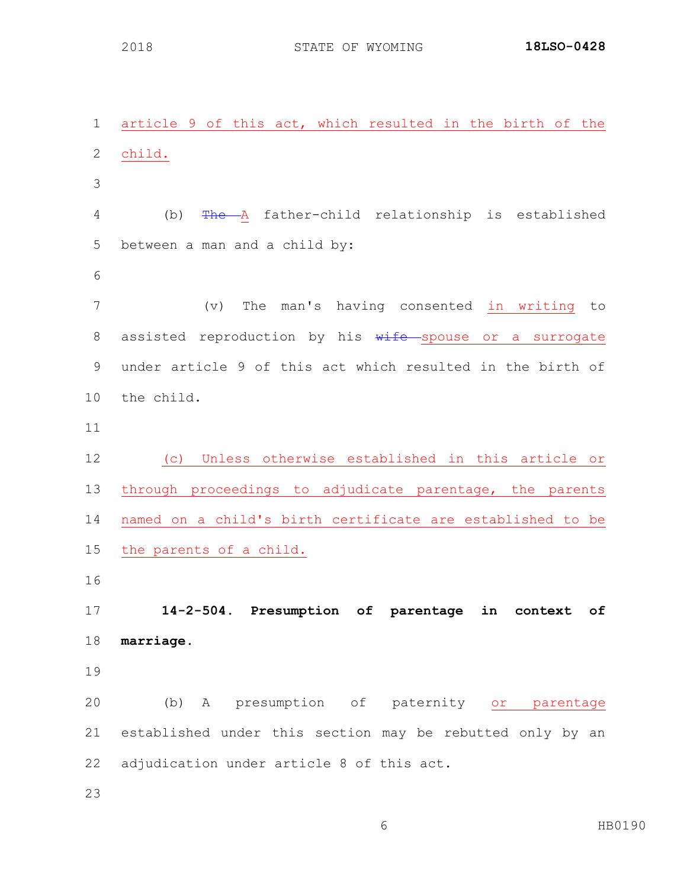article 9 of this act, which resulted in the birth of the child. (b) The A father-child relationship is established between a man and a child by: (v) The man's having consented in writing to 8 assisted reproduction by his wife spouse or a surrogate under article 9 of this act which resulted in the birth of the child. (c) Unless otherwise established in this article or through proceedings to adjudicate parentage, the parents named on a child's birth certificate are established to be the parents of a child. **14-2-504. Presumption of parentage in context of marriage.** (b) A presumption of paternity or parentage established under this section may be rebutted only by an adjudication under article 8 of this act.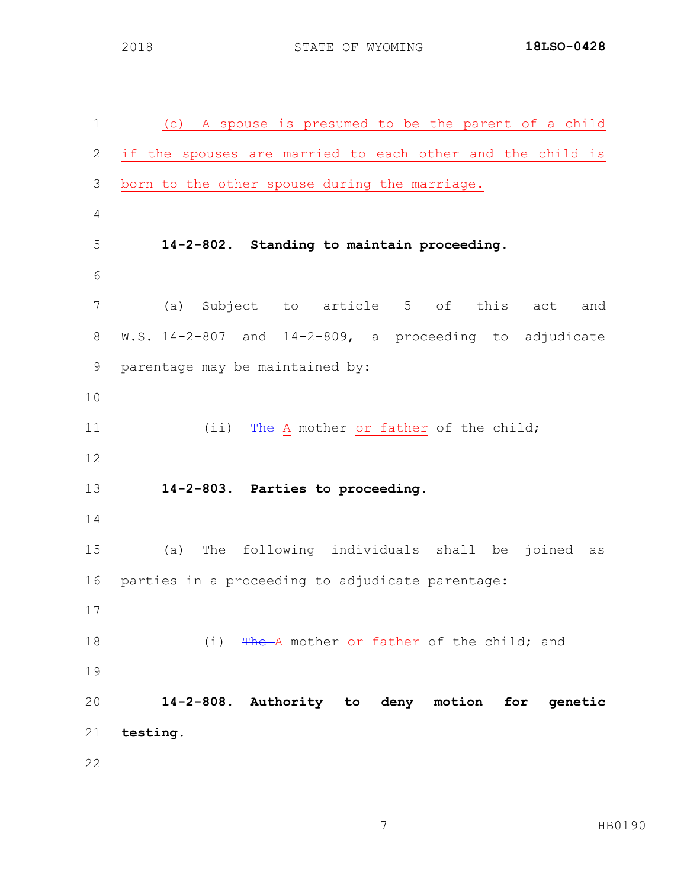(c) A spouse is presumed to be the parent of a child if the spouses are married to each other and the child is born to the other spouse during the marriage. **14-2-802. Standing to maintain proceeding.** (a) Subject to article 5 of this act and W.S. 14-2-807 and 14-2-809, a proceeding to adjudicate parentage may be maintained by: 11 (ii) The A mother or father of the child; **14-2-803. Parties to proceeding.** (a) The following individuals shall be joined as parties in a proceeding to adjudicate parentage: 18 (i) The A mother or father of the child; and **14-2-808. Authority to deny motion for genetic testing.**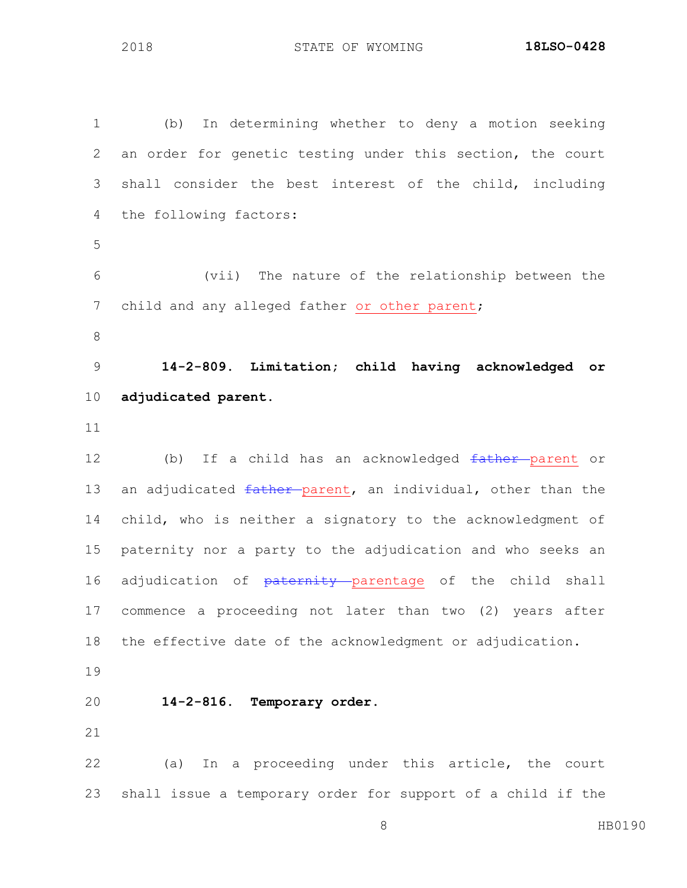(b) In determining whether to deny a motion seeking an order for genetic testing under this section, the court shall consider the best interest of the child, including the following factors: (vii) The nature of the relationship between the 7 child and any alleged father or other parent; **14-2-809. Limitation; child having acknowledged or adjudicated parent.** 12 (b) If a child has an acknowledged father parent or 13 an adjudicated father parent, an individual, other than the child, who is neither a signatory to the acknowledgment of paternity nor a party to the adjudication and who seeks an 16 adjudication of paternity parentage of the child shall commence a proceeding not later than two (2) years after the effective date of the acknowledgment or adjudication. **14-2-816. Temporary order.** (a) In a proceeding under this article, the court shall issue a temporary order for support of a child if the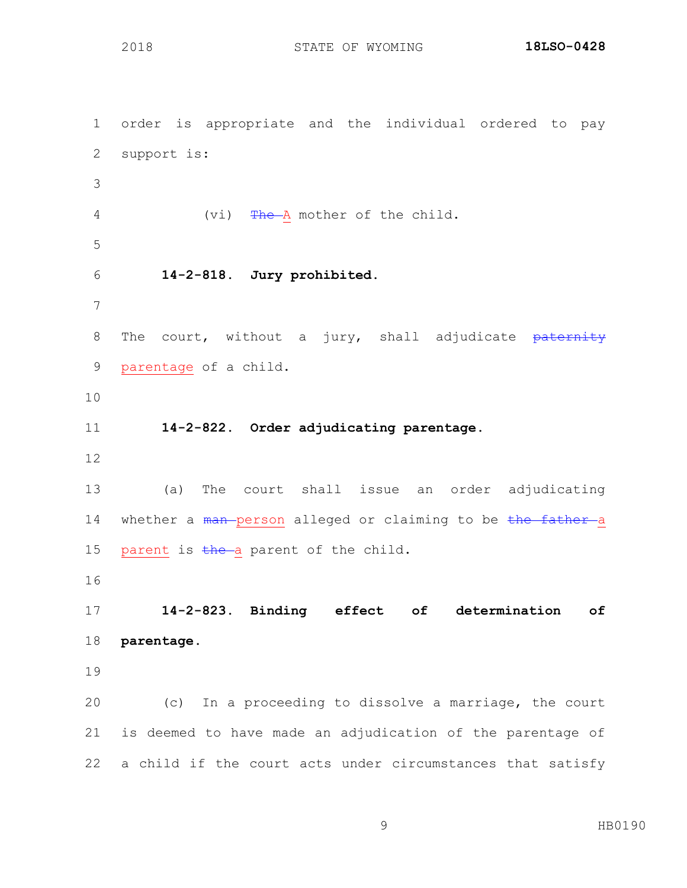order is appropriate and the individual ordered to pay support is: 4 (vi) The A mother of the child. **14-2-818. Jury prohibited.** 8 The court, without a jury, shall adjudicate paternity parentage of a child. **14-2-822. Order adjudicating parentage.** (a) The court shall issue an order adjudicating 14 whether a man person alleged or claiming to be the father a 15 parent is  $t$ he a parent of the child. **14-2-823. Binding effect of determination of parentage.** (c) In a proceeding to dissolve a marriage, the court is deemed to have made an adjudication of the parentage of a child if the court acts under circumstances that satisfy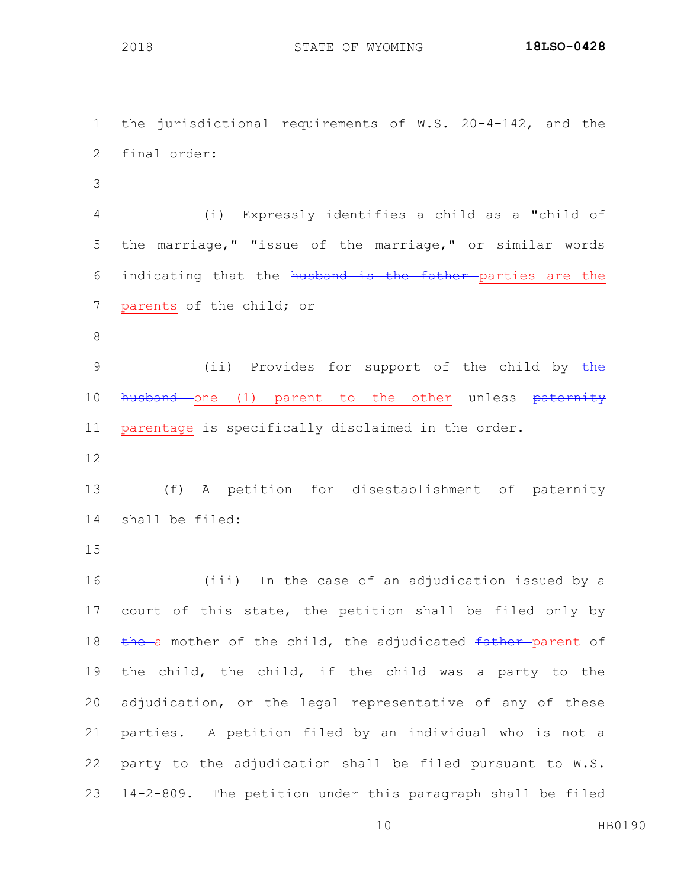the jurisdictional requirements of W.S. 20-4-142, and the final order:

 (i) Expressly identifies a child as a "child of the marriage," "issue of the marriage," or similar words 6 indicating that the husband is the father parties are the parents of the child; or

9 (ii) Provides for support of the child by the 10 husband one (1) parent to the other unless paternity parentage is specifically disclaimed in the order.

 (f) A petition for disestablishment of paternity shall be filed:

 (iii) In the case of an adjudication issued by a court of this state, the petition shall be filed only by 18 the a mother of the child, the adjudicated father parent of the child, the child, if the child was a party to the adjudication, or the legal representative of any of these parties. A petition filed by an individual who is not a party to the adjudication shall be filed pursuant to W.S. 14-2-809. The petition under this paragraph shall be filed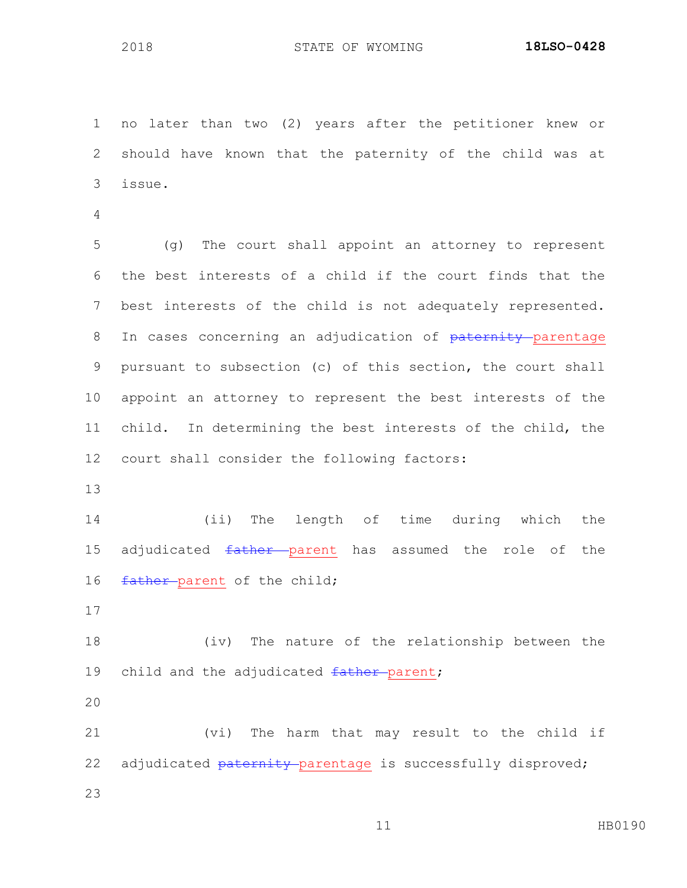no later than two (2) years after the petitioner knew or should have known that the paternity of the child was at issue.

 (g) The court shall appoint an attorney to represent the best interests of a child if the court finds that the best interests of the child is not adequately represented. 8 In cases concerning an adjudication of paternity parentage pursuant to subsection (c) of this section, the court shall appoint an attorney to represent the best interests of the child. In determining the best interests of the child, the court shall consider the following factors:

 (ii) The length of time during which the 15 adjudicated father parent has assumed the role of the 16 father parent of the child;

 (iv) The nature of the relationship between the 19 child and the adjudicated father parent;

 (vi) The harm that may result to the child if 22 adjudicated paternity parentage is successfully disproved;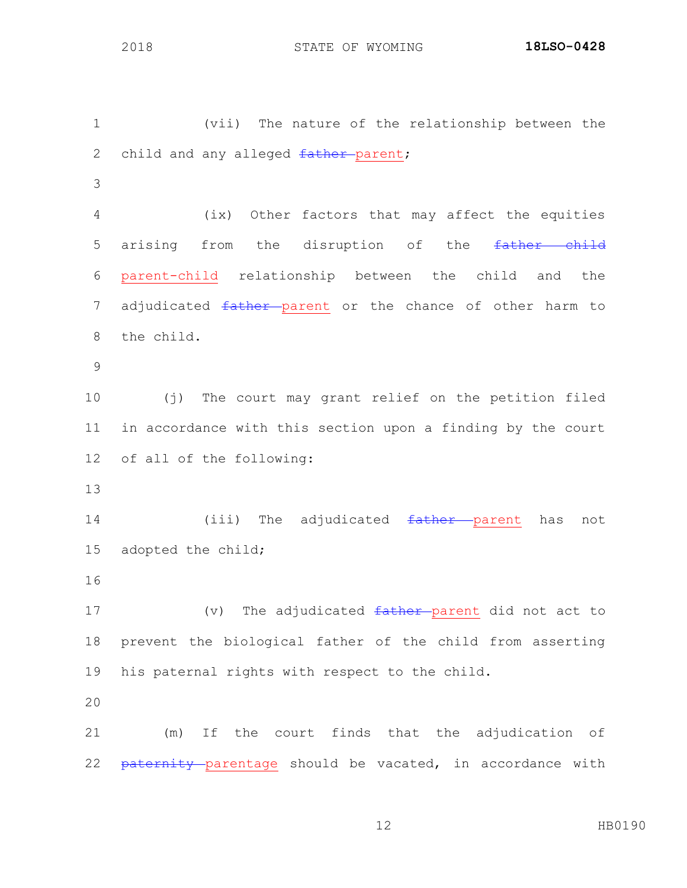(vii) The nature of the relationship between the 2 child and any alleged father-parent; (ix) Other factors that may affect the equities 5 arising from the disruption of the father child parent-child relationship between the child and the 7 adjudicated father parent or the chance of other harm to the child. (j) The court may grant relief on the petition filed in accordance with this section upon a finding by the court of all of the following: 14 (iii) The adjudicated <del>father parent</del> has not adopted the child; 17 (v) The adjudicated father parent did not act to prevent the biological father of the child from asserting his paternal rights with respect to the child. (m) If the court finds that the adjudication of 22 paternity parentage should be vacated, in accordance with

HB0190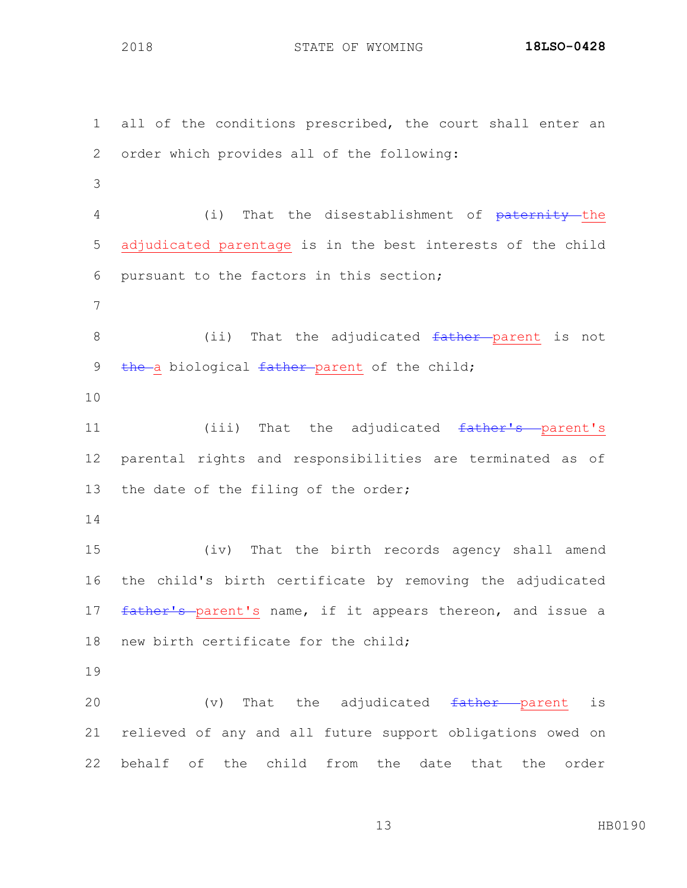all of the conditions prescribed, the court shall enter an order which provides all of the following: 4 (i) That the disestablishment of <del>paternity t</del>he adjudicated parentage is in the best interests of the child pursuant to the factors in this section; 8 (ii) That the adjudicated father parent is not 9 the a biological father parent of the child; 11 (iii) That the adjudicated father's parent's parental rights and responsibilities are terminated as of the date of the filing of the order; (iv) That the birth records agency shall amend the child's birth certificate by removing the adjudicated 17 father's parent's name, if it appears thereon, and issue a new birth certificate for the child; 20  $(v)$  That the adjudicated  $f$ ather parent is relieved of any and all future support obligations owed on behalf of the child from the date that the order

HB0190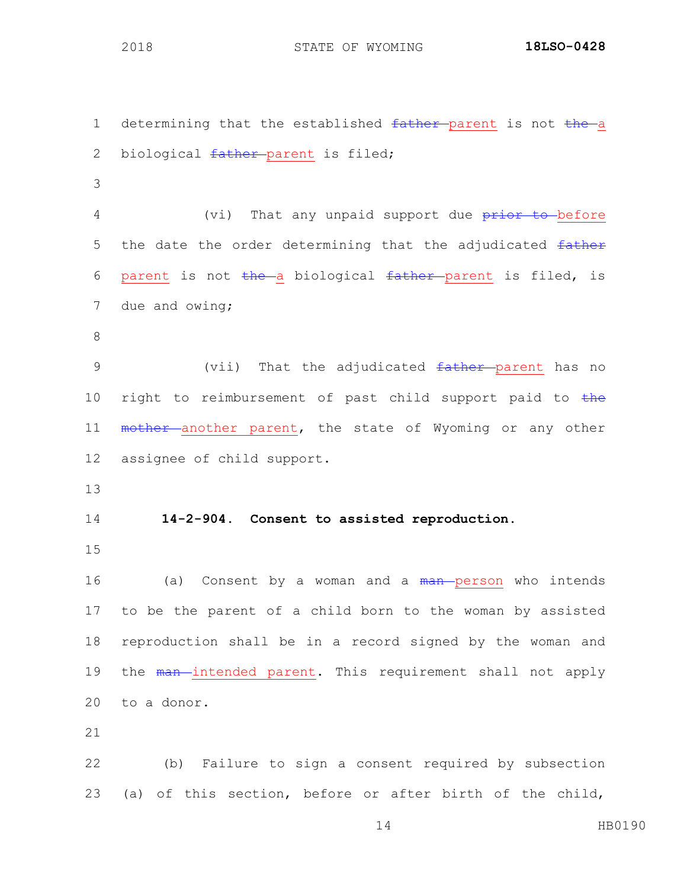1 determining that the established father-parent is not the a 2 biological father-parent is filed; 3 4 (vi) That any unpaid support due prior to before 5 the date the order determining that the adjudicated  $f$ ather 6 parent is not the a biological father parent is filed, is 7 due and owing; 8 9 (vii) That the adjudicated father parent has no 10 right to reimbursement of past child support paid to  $the$ 11 mother another parent, the state of Wyoming or any other 12 assignee of child support. 13 14 **14-2-904. Consent to assisted reproduction.** 15 16 (a) Consent by a woman and a man person who intends 17 to be the parent of a child born to the woman by assisted 18 reproduction shall be in a record signed by the woman and 19 the man-intended parent. This requirement shall not apply 20 to a donor. 21 22 (b) Failure to sign a consent required by subsection 23 (a) of this section, before or after birth of the child,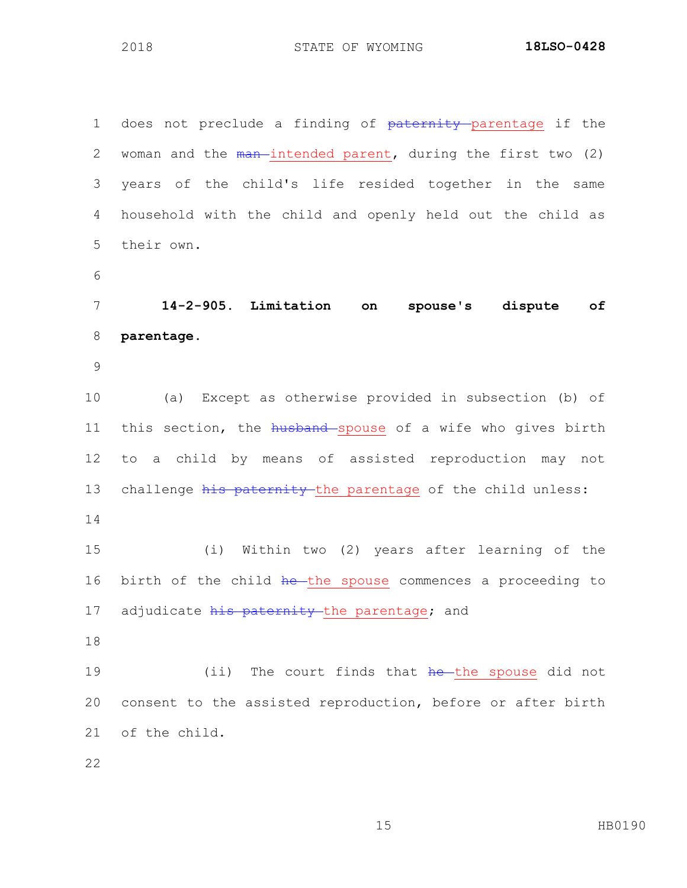1 does not preclude a finding of paternity parentage if the 2 woman and the  $\frac{1}{2}$  man intended parent, during the first two (2) years of the child's life resided together in the same household with the child and openly held out the child as their own. **14-2-905. Limitation on spouse's dispute of parentage.** (a) Except as otherwise provided in subsection (b) of 11 this section, the husband spouse of a wife who gives birth to a child by means of assisted reproduction may not 13 challenge his paternity the parentage of the child unless: (i) Within two (2) years after learning of the 16 birth of the child he the spouse commences a proceeding to 17 adjudicate his paternity the parentage; and 19 (ii) The court finds that he the spouse did not consent to the assisted reproduction, before or after birth of the child.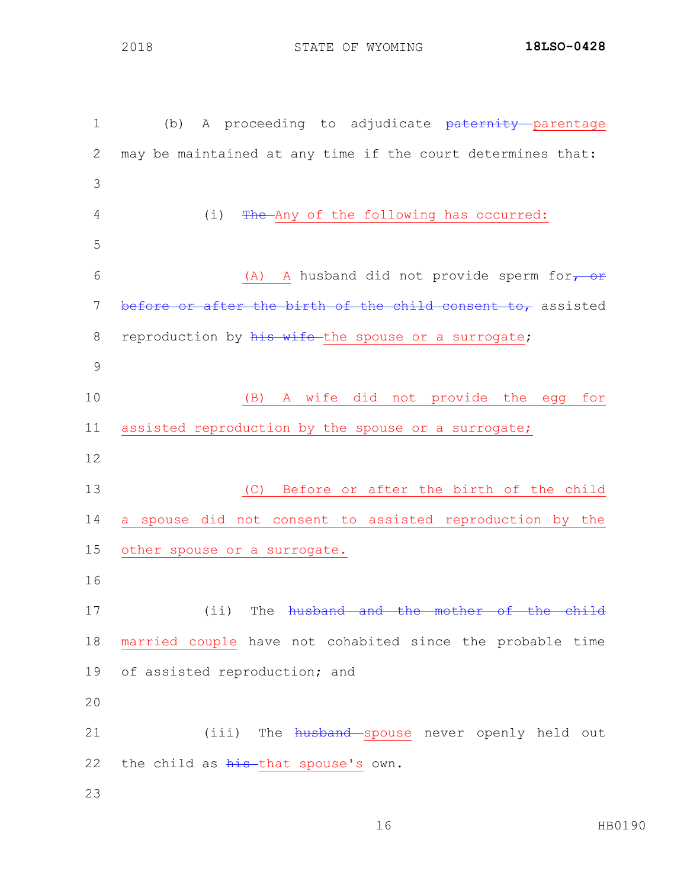1 (b) A proceeding to adjudicate paternity parentage may be maintained at any time if the court determines that: 4 (i) The Any of the following has occurred: 6 (A) A husband did not provide sperm for, or 7 before or after the birth of the child consent to, assisted 8 reproduction by his wife-the spouse or a surrogate; (B) A wife did not provide the egg for assisted reproduction by the spouse or a surrogate; (C) Before or after the birth of the child a spouse did not consent to assisted reproduction by the other spouse or a surrogate. 17 (ii) The husband and the mother of the child married couple have not cohabited since the probable time of assisted reproduction; and 21 (iii) The husband spouse never openly held out 22 the child as his that spouse's own.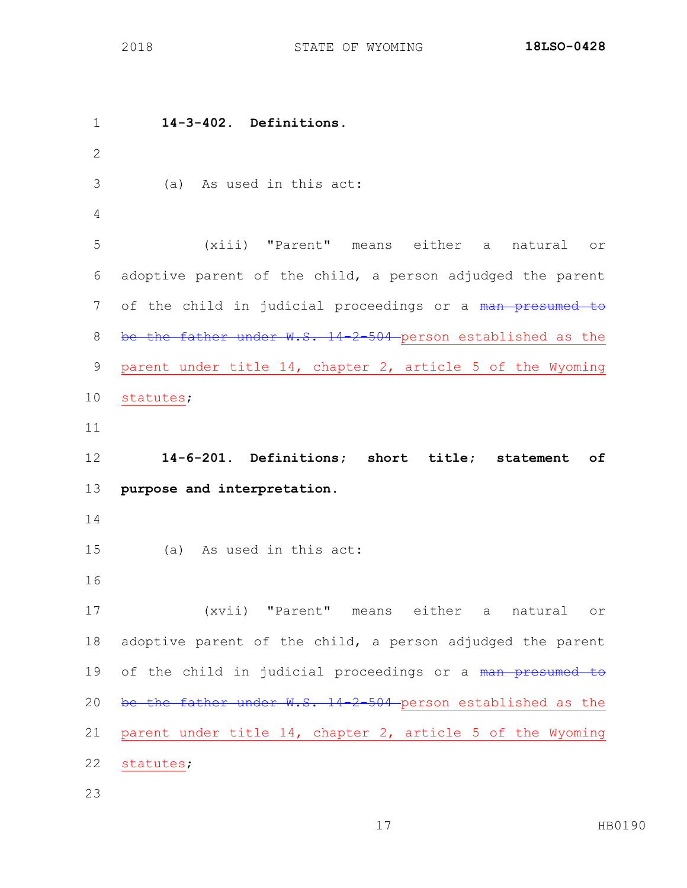**14-3-402. Definitions.** (a) As used in this act: (xiii) "Parent" means either a natural or adoptive parent of the child, a person adjudged the parent 7 of the child in judicial proceedings or a man presumed to 8 be the father under W.S. 14-2-504 person established as the parent under title 14, chapter 2, article 5 of the Wyoming statutes; **14-6-201. Definitions; short title; statement of purpose and interpretation.** (a) As used in this act: (xvii) "Parent" means either a natural or adoptive parent of the child, a person adjudged the parent 19 of the child in judicial proceedings or a man presumed to 20 be the father under W.S. 14-2-504 person established as the parent under title 14, chapter 2, article 5 of the Wyoming statutes;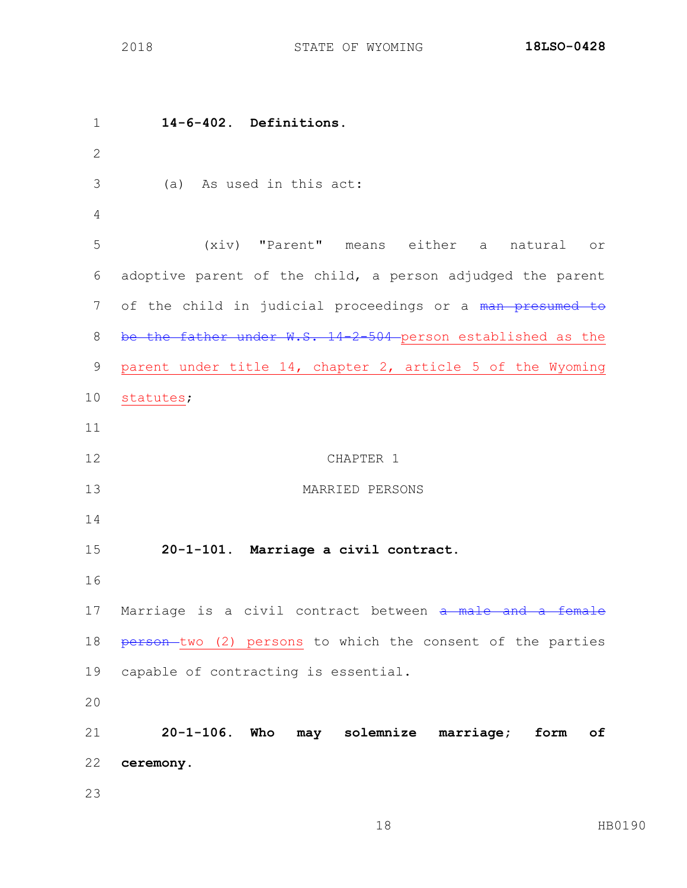**14-6-402. Definitions.** (a) As used in this act: (xiv) "Parent" means either a natural or adoptive parent of the child, a person adjudged the parent 7 of the child in judicial proceedings or a man presumed to 8 be the father under W.S. 14-2-504 person established as the parent under title 14, chapter 2, article 5 of the Wyoming statutes; CHAPTER 1 MARRIED PERSONS **20-1-101. Marriage a civil contract.** 17 Marriage is a civil contract between a male and a female 18 person-two (2) persons to which the consent of the parties capable of contracting is essential. **20-1-106. Who may solemnize marriage; form of ceremony.**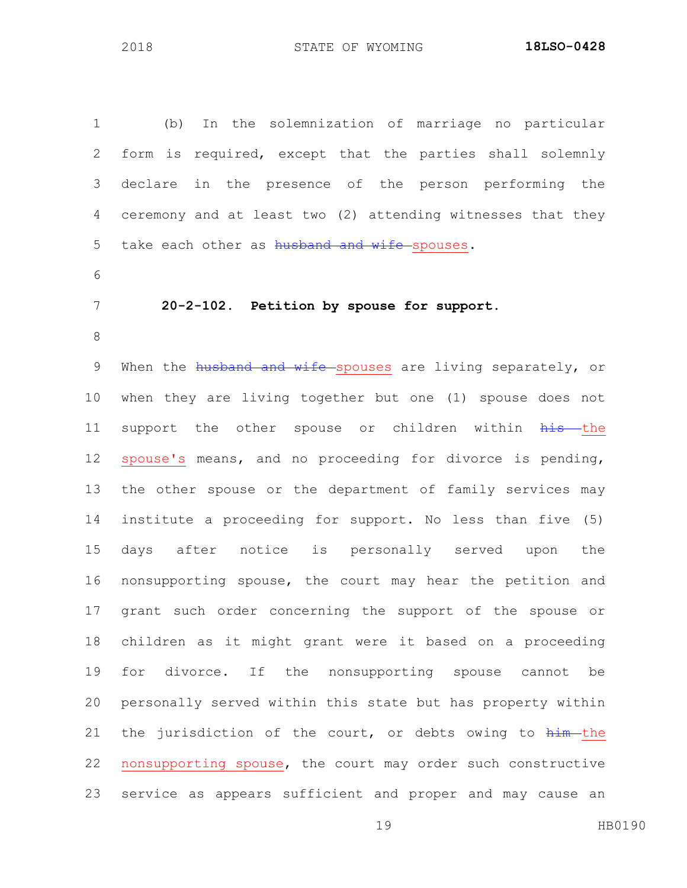(b) In the solemnization of marriage no particular form is required, except that the parties shall solemnly declare in the presence of the person performing the ceremony and at least two (2) attending witnesses that they 5 take each other as husband and wife spouses. 

**20-2-102. Petition by spouse for support.**

9 When the husband and wife spouses are living separately, or when they are living together but one (1) spouse does not 11 support the other spouse or children within his the spouse's means, and no proceeding for divorce is pending, the other spouse or the department of family services may institute a proceeding for support. No less than five (5) days after notice is personally served upon the nonsupporting spouse, the court may hear the petition and grant such order concerning the support of the spouse or children as it might grant were it based on a proceeding for divorce. If the nonsupporting spouse cannot be personally served within this state but has property within 21 the jurisdiction of the court, or debts owing to  $h$ im the nonsupporting spouse, the court may order such constructive service as appears sufficient and proper and may cause an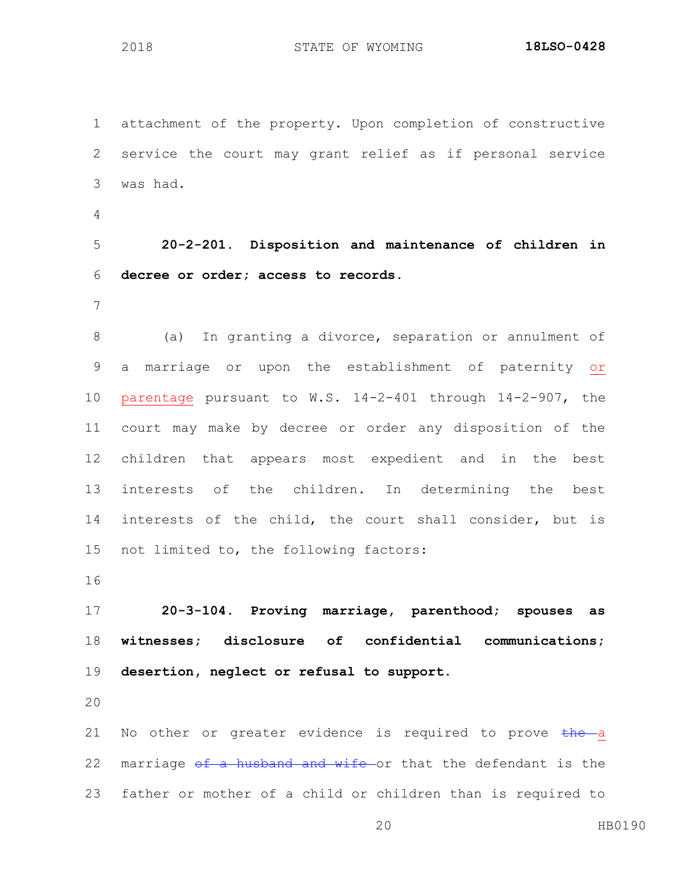attachment of the property. Upon completion of constructive service the court may grant relief as if personal service was had.

 **20-2-201. Disposition and maintenance of children in decree or order; access to records.**

 (a) In granting a divorce, separation or annulment of a marriage or upon the establishment of paternity or parentage pursuant to W.S. 14-2-401 through 14-2-907, the court may make by decree or order any disposition of the children that appears most expedient and in the best interests of the children. In determining the best interests of the child, the court shall consider, but is not limited to, the following factors:

 **20-3-104. Proving marriage, parenthood; spouses as witnesses; disclosure of confidential communications; desertion, neglect or refusal to support.**

21 No other or greater evidence is required to prove the a 22 marriage of a husband and wife or that the defendant is the father or mother of a child or children than is required to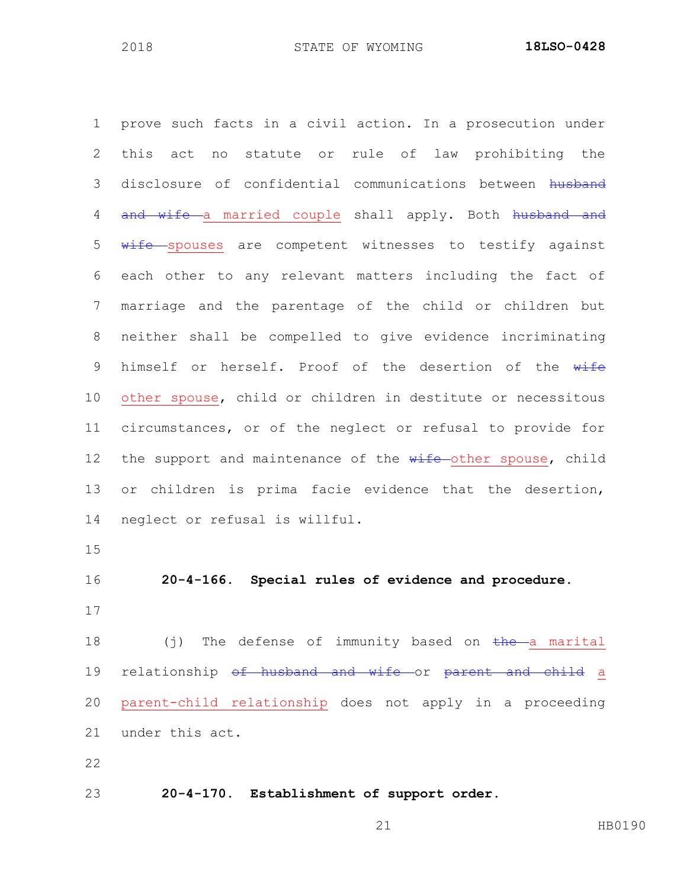prove such facts in a civil action. In a prosecution under this act no statute or rule of law prohibiting the 3 disclosure of confidential communications between husband 4 and wife a married couple shall apply. Both husband and 5 wife spouses are competent witnesses to testify against each other to any relevant matters including the fact of marriage and the parentage of the child or children but neither shall be compelled to give evidence incriminating 9 himself or herself. Proof of the desertion of the wife other spouse, child or children in destitute or necessitous circumstances, or of the neglect or refusal to provide for 12 the support and maintenance of the wife-other spouse, child or children is prima facie evidence that the desertion, neglect or refusal is willful. **20-4-166. Special rules of evidence and procedure.**  $(j)$  The defense of immunity based on the a marital 19 relationship of husband and wife or parent and child a parent-child relationship does not apply in a proceeding under this act. **20-4-170. Establishment of support order.**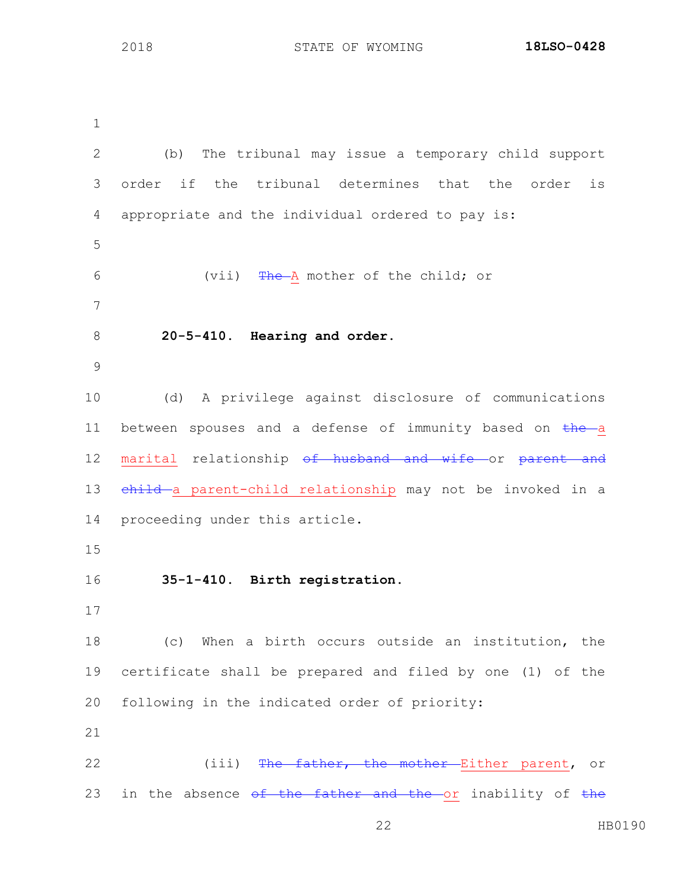(b) The tribunal may issue a temporary child support order if the tribunal determines that the order is appropriate and the individual ordered to pay is: 6 (vii) The A mother of the child; or **20-5-410. Hearing and order.** (d) A privilege against disclosure of communications 11 between spouses and a defense of immunity based on the a 12 marital relationship <del>of husband and wife or parent and</del> 13 child a parent-child relationship may not be invoked in a proceeding under this article. **35-1-410. Birth registration.** (c) When a birth occurs outside an institution, the certificate shall be prepared and filed by one (1) of the following in the indicated order of priority: 22 (iii) The father, the mother Either parent, or 23 in the absence of the father and the or inability of the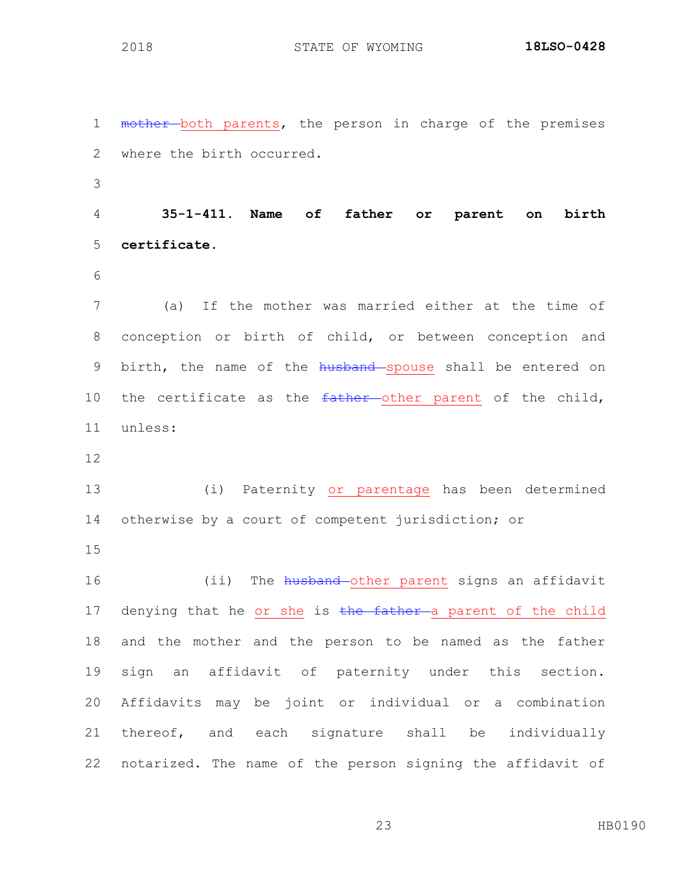1 mother both parents, the person in charge of the premises where the birth occurred. **35-1-411. Name of father or parent on birth certificate.** (a) If the mother was married either at the time of conception or birth of child, or between conception and 9 birth, the name of the husband spouse shall be entered on 10 the certificate as the father other parent of the child, unless: (i) Paternity or parentage has been determined otherwise by a court of competent jurisdiction; or 16 (ii) The husband-other parent signs an affidavit 17 denying that he or she is the father a parent of the child and the mother and the person to be named as the father sign an affidavit of paternity under this section. Affidavits may be joint or individual or a combination thereof, and each signature shall be individually notarized. The name of the person signing the affidavit of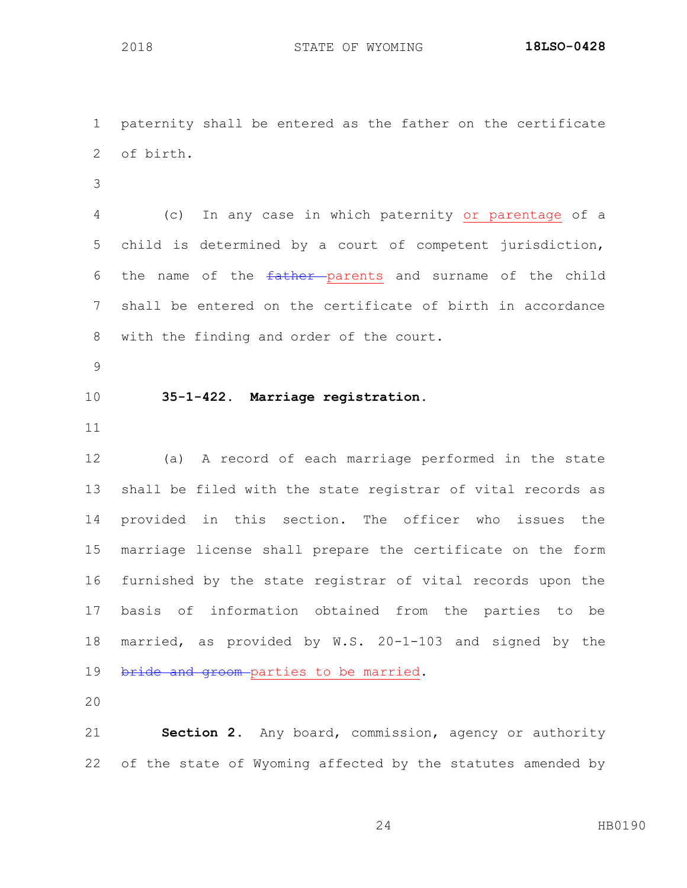paternity shall be entered as the father on the certificate of birth. (c) In any case in which paternity or parentage of a child is determined by a court of competent jurisdiction, 6 the name of the father parents and surname of the child shall be entered on the certificate of birth in accordance with the finding and order of the court. **35-1-422. Marriage registration.** (a) A record of each marriage performed in the state shall be filed with the state registrar of vital records as provided in this section. The officer who issues the marriage license shall prepare the certificate on the form furnished by the state registrar of vital records upon the basis of information obtained from the parties to be married, as provided by W.S. 20-1-103 and signed by the 19 bride and groom-parties to be married. 

 **Section 2.** Any board, commission, agency or authority of the state of Wyoming affected by the statutes amended by